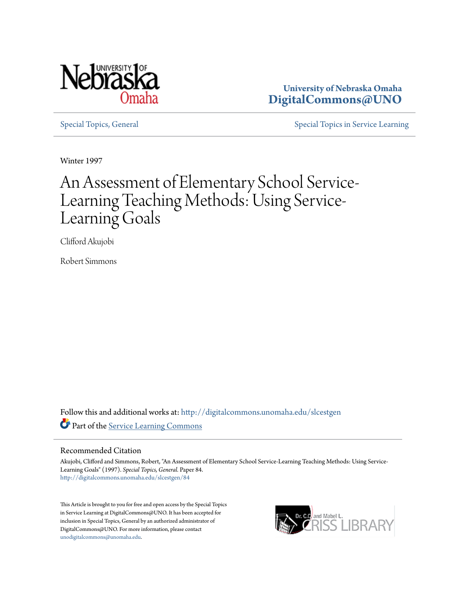

**University of Nebraska Omaha [DigitalCommons@UNO](http://digitalcommons.unomaha.edu?utm_source=digitalcommons.unomaha.edu%2Fslcestgen%2F84&utm_medium=PDF&utm_campaign=PDFCoverPages)**

[Special Topics, General](http://digitalcommons.unomaha.edu/slcestgen?utm_source=digitalcommons.unomaha.edu%2Fslcestgen%2F84&utm_medium=PDF&utm_campaign=PDFCoverPages) [Special Topics in Service Learning](http://digitalcommons.unomaha.edu/slcespecialtopics?utm_source=digitalcommons.unomaha.edu%2Fslcestgen%2F84&utm_medium=PDF&utm_campaign=PDFCoverPages)

Winter 1997

## An Assessment of Elementary School Service-Learning Teaching Methods: Using Service-Learning Goals

Clifford Akujobi

Robert Simmons

Follow this and additional works at: [http://digitalcommons.unomaha.edu/slcestgen](http://digitalcommons.unomaha.edu/slcestgen?utm_source=digitalcommons.unomaha.edu%2Fslcestgen%2F84&utm_medium=PDF&utm_campaign=PDFCoverPages) Part of the [Service Learning Commons](http://network.bepress.com/hgg/discipline/1024?utm_source=digitalcommons.unomaha.edu%2Fslcestgen%2F84&utm_medium=PDF&utm_campaign=PDFCoverPages)

### Recommended Citation

Akujobi, Clifford and Simmons, Robert, "An Assessment of Elementary School Service-Learning Teaching Methods: Using Service-Learning Goals" (1997). *Special Topics, General.* Paper 84. [http://digitalcommons.unomaha.edu/slcestgen/84](http://digitalcommons.unomaha.edu/slcestgen/84?utm_source=digitalcommons.unomaha.edu%2Fslcestgen%2F84&utm_medium=PDF&utm_campaign=PDFCoverPages)

This Article is brought to you for free and open access by the Special Topics in Service Learning at DigitalCommons@UNO. It has been accepted for inclusion in Special Topics, General by an authorized administrator of DigitalCommons@UNO. For more information, please contact [unodigitalcommons@unomaha.edu](mailto:unodigitalcommons@unomaha.edu).

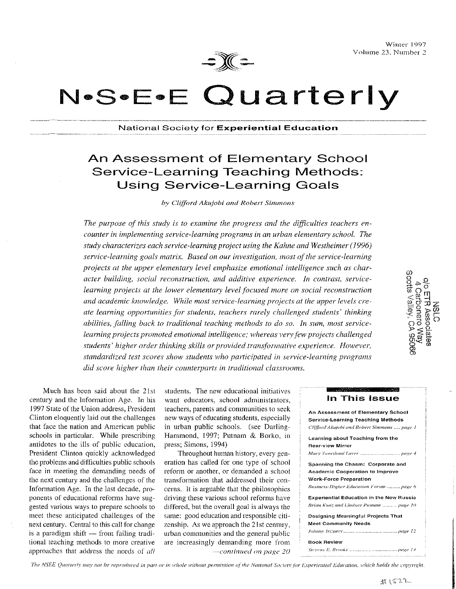

Winter 1997 Volume 23. Number *2* 

# N.S.E.E Quarterly

### National Society for Experiential Education

### An Assessment of Elementary School Service-Learning Teaching Methods: Using Service-Learning Goals

 $by$  *Clifford Akujobi and Robert Simmons* 

*The purpose of this study is to examine the progress and the difficulties teachers encounter in implementing service-learning programs in an urban elementary school. The study characterizes each service-learning project using the Kahne and Westheimer ( 1996)*  service-learning goals matrix. Based on our investigation, most of the service-learning projects at the upper elementary level emphasize emotional intelligence such as char*acter building, social reconstruction, and additive experience. In contrast, servicelearning projects at the lower elementary level focused more on social reconstruction and academic knowledge. While most service-learning projects at the upper levels create learning opportunities for students, teachers rarely challenged students' thinking abilities, falling back to traditional teaching methods to do so. In sum, most servicelearning projects promoted emotional intelligence; whereas very few projects challenged* students' higher order thinking skills or provided *transformative experience. However, standardized test scores show students who participated in service-learning prograrns did score higher than their counterparts in traditional classrooms.* 

4 Carbonero Way<br>Socits Valley, CA 95066

century and the Information Age. In his 1997 State of the Union address, President Clinton eloquently laid out the challenges that face the nation and American public schools in particular. While prescribing antidotes to the ills of public education, President Clinton quickly acknowledged the problems and difficulties public schools face in meeting the demanding needs of the next century and the challenges of the Information Age. In the last decade, pro~ ponents of educational reforms have suggested various ways to prepare schools to meet these anticipated challenges of the next century. Central to this call for change is a paradigm shift  $-$  from failing traditional teaching methods to more creative approaches that address the needs of *all* 

Much has been said about the 21st students. The new educational initiatives want educators, school administrators, teachers, parents and communities to seck new ways of educating students, especially in urban public schools. (see Darling~ Hammond, 1997; Putnam & Barko, in press; Simons, 1994)

> Throughout human history, every generation has called for one type of school reform or another, or demanded a school transformation that addressed their concerns. It is arguable that the philosophies driving these various school reforms have differed, but the overall goal is always the same: good education and responsible citizenship. As we approach the 21st century, urban communities and the general public are increasingly demanding more from *··Continued on page 20*

### In This Issue

| An Assessment of Elementary School              |  |
|-------------------------------------------------|--|
| <b>Service-Learning Teaching Methods</b>        |  |
| Clifford Akujobi and Robert Simmons  page 1     |  |
| Learning about Teaching from the                |  |
| Rear-view Mirror                                |  |
|                                                 |  |
| Spanning the Chasm: Corporate and               |  |
| <b>Academic Cooperation to Improve</b>          |  |
| <b>Work-Force Preparation</b>                   |  |
| Business-Higher Education Forum  page 6         |  |
| <b>Experiential Education in the New Russia</b> |  |
| Brian Kunz and Lindsay Putnam  page 10          |  |
| Designing Meaningful Projects That              |  |
| Meet Community Needs                            |  |
|                                                 |  |
| <b>Book Review</b>                              |  |
|                                                 |  |

The NSEE Quarterly may not be reproduced in part or in whole without permission of the National Society for Experiential Education, which holds the copyright.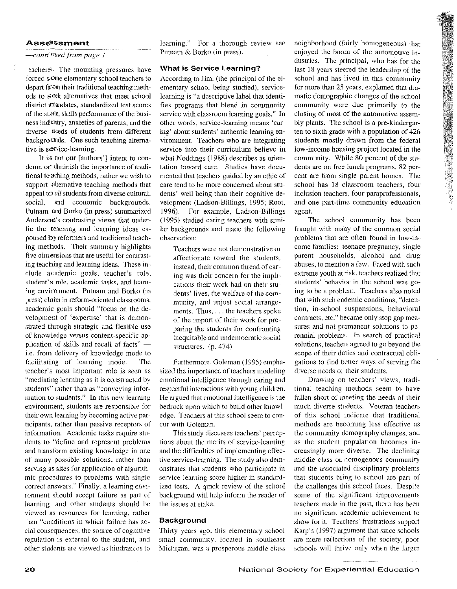### Asse<sup>ssment</sup>

### continued from page 1

~achers. The mounting pressures have forced s.Ome elementary school teachers to depart from their traditional teaching methods to  $seek$  alternatives that meet school district **11**andates, standardized test scores of the state, skills performance of the business industry, anxieties of parents, and the diverse needs of students from different backgrounds. One such teaching alternative is service-learning.

It is not our [authors'] intent to condemn or diminish the importance of traditional teaching methods, rather we wish to support alternative teaching methods that appeal *to all* students from diverse cultural, social, and economic backgrounds. Putnam and Borko (in press) summarized Anderson's contrasting views that underlie the teaching and learning ideas espoused by reformers and traditional teaching methods. Their summary highlights five dimensions that are useful for contrasting teaching and learning ideas. These include academic goals, teacher's role, student's role, academic tasks, and learn- :ng environment. Putnam and Borko (in £Jress) claim in reform-oriented classrooms. academic goals should "focus on the development of 'expertise' that is demonstrated through strategic and flexible use of knowledge versus content-specific application of skills and recall of facts" $$ i.e. from delivery of knowledge mode to facilitating of learning mode. The teacher's most important role is· seen as "mediating learning as it is constructed by students" rather than as "conveying information to students." In this new learning environment, students are responsible for their own learning by becoming active participants, rather than passive receptors of information. Academic tasks require students to "define and represent problems and transform existing knowledge in one of many possible solutions, rather than serving as sites for application of algorithmic procedures to problems with single correct answers." Finally, a learning environment should accept failure as part of learning, and other students should be viewed as resources for learning, rather 1an "conditions in which failure has so-

cial consequences, the source of cognitive regulation is external to the student, and other students are viewed as hindrances to

learning." For a thorough review see Putnam & Borko (in press).

### What is Service Learning?

According to Jim, (the principal of the elementary school being studied), servicelearning is "a descriptive label that identifies programs that blend in community service with classroom learning goals." In other words, service-learning means 'caring' about students' authentic learning environment. Teachers who are integrating service into their curriculum believe in what Noddings (1988) describes as orientation toward care. Studies have documented that teachers guided by an ethic of care tend to be more concerned about students' well being than their cognitive development (Ladson-Billings, 1995; Root, 1996). For example, Ladson-Billings (1995) studied caring teachers with similar backgrounds and made the following observation:

> Teachers were not demonstrative or affectionate toward the students, instead, their common thread of caring was their concern for the implications their work had on their students' lives, the welfare of the community, and unjust social arrangements. Thus, ... the teachers spoke of the import of their work for pre~ paring the students for confronting inequitable and undemocratic social structures. (p. 474)

Furthermore, Goleman (1995) emphasized the importance of teachers modeling emotional intelligence through caring and respectful interactions with young children. He argued that emotional intelligence is the bedrock upon which to build other knowledge. Teachers at this school seem to concur with Goleman.

This study discusses teachers' perceptions about the merits of service-learning and the difficulties of implementing effective service-learning. The study also demonstrates that students who participate in service-learning score higher in standardized tests. A quick review of the school background will help inform the reader of the issues at stake.

### Background

Thirty years ago, this elementary school small community, located in southeast Michigan. was a prosperous middle class neighborhood (fairly homogeneous) that enjoyed the boom of the automotive industries. The principal, who has for the last 18 years steered the leadership of the school and has lived in this community for more than 25 years, explained that dramatic demographic changes of the school community were due primarily to the closing of most of the automotive assembly plants. The school is a pre-kindergarten to sixth grade with a population of 426 students mostly drawn from the federal low-income housing project located in the community. While 80 percent of the students are on free lunch programs, 82 percent are from single parent homes. The school has 18 classroom teachers, four inclusion teachers, four paraprofessionals, and one part-time community education agent.

The school community has been fraught with many of the common social problems that are often found in low-income families: teenage pregnancy, single parent households, alcohol and drug abuses, to mention a few. Faced with such extreme youth at risk, teachers realized that students' behavior in the school was going to be a problem. Teachers also noted that with such endemic conditions, "detention, in-school suspensions, behavioral contracts, etc." became only stop gap measures and not permanent solutions to perennial problems. In search of practical solutions, teachers agreed to go beyond the scope of their duties and contractual obli~ gations to find better ways of serving the diverse needs of their students.

Drawing on teachers' views, traditional teaching methods seem to have fallen short of meeting the needs of their much diverse students. Veteran teachers of this school indicate that traditional methods are becoming less effective as the community demography changes, and as the student population becomes increasingly more diverse. The declining middle class or homogenous community and the associated disciplinary problems that students bring to school are part of the challenges this school faces. Despite some of the significant improvements teachers made in the past, there has been no significant academic achievement to show for it. Teachers' frustrations support Karp's (1997) argument that since schools are mere reflections of the society, poor schools will thrive only when the larger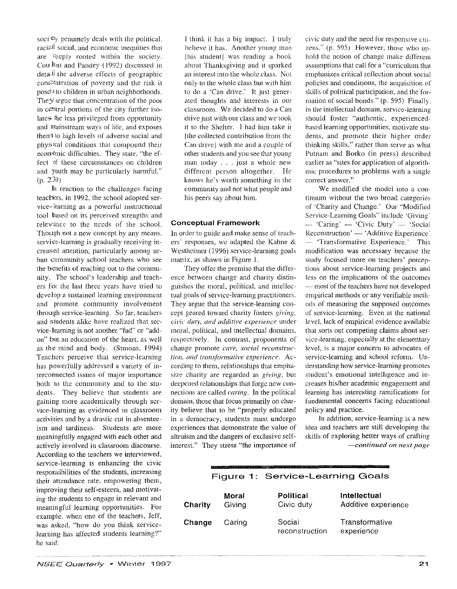soci C<sub>IV</sub> genuinely deals with the political. raci<sup>al</sup> social, and economic inequities that are Geeply rooted within the society. Cou  $\ln$  and Pandey (1992) discussed in detail the adverse effects of geographic  $conC$  atration of poverty and the risk it poses 10 children in urban neighborhoods. They argue that concentration of the poor in c $\epsilon$ <sup>n</sup>tral portions of the city further isolates the less privileged from opportunity and mainstream ways of life, and exposes then1 to high levels of adverse social and physical conditions that compound their economic difficulties. They state, ''the effect of these circumstances on children and youth may be particularly harmfuL" (p. 239)

In reaction to the challenges facing teachers, in 1992, the school adopted service-learning as a powerful instructional tool based on its perceived strengths and relevance to the needs of the school. Though not a new concept by any means. service-learning is gradually receiving increased attention, particularly among urban community school teachers who sec the benefits of reaching out to the community. The school's leadership and teachers for the last three years have tried to develop a sustained learning environment and promote community involvement through service-learning. So far, teachers and students alike have realized that service-learning is not another "fad" or "addon" but an education of the heart. as well as the mind and body. (Simons, 1994) Teachers perceive that service-learning has powerfully addressed a variety of interconnected issues of major importance both 10 the community and to the students. They believe that students arc gaining more academically through service-learning as evidenced in classroom activities and by a drastic cut in absenteeism and tardiness. Students are more meaningfully engaged with each other and actively involved in classroom discourse. According to the teachers we interviewed, service-learning is enhancing the civic responsibilities of the students, increasing their attendance rate, empowering them, improving their self-esteem, and motivating the students to engage in relevant and meaningful learning opportunities. For example, when one of the teachers, Jeff, was asked, "how do you think servicelearning has affected students learning?" he said:

I think it has a big impact. I truly believe it has. Another young: man [his student] was reading a book about Thanksgiving and it sparked an interest into the whole class. Not only to the whole class but with him to do a 'Can drive.' lt just generated thoughts and interests in our classroom. We decided to do a Can drive just with our class and we took it to the Shelter. I had him take it [the collected contribution from the Can drive] with me and a couple of' other students and you see that young man today ... just a whole new different person altogether. He knows he's worth something in the community and not what people and his peers say about him.

### Conceptual Framework

In order to guide and make sense of teachers· responses, we adapted the Kahne & Westhcimer (1996) service-learning goals matrix. as shown in Figure 1.

They offer the premise that the difference between change and charity distinguishes the moral, political, and intellectual goals of service-learning practitioners. They argue that the service-learning concept geared toward charity fosters *giving, civic· duty, and additive experience* under moral, political, and intellectual domains, respectively. In contrast, proponents of change promote *care, social reconstruc*tion, and transformative experience. According to them, relationships that empha·· size charity are regarded as *giving*, but deepened relationships that forge new connections are called *caring*. In the political domain, those that focus primarily on charity believe that to be "properly educated in a democracy, students must undergo experiences that demonstrate the value of altruism and the dangers of exclusive selfinterest." They stress "the importance of civic duty and the need for responsive citi .. zens." (p. 595) However, those who uphold the notion of change make differcm assumptions that call for a "curriculum that emphasizes critical reflection about social policies and conditions, the acquisition of skills of political participation, and the formation of social bonds." (p. 595) Finally. in the intellectual domain. service-learning should foster "authentic, experiencedbased learning opportunities, motivate students, and promote their higher order thinking skills," rather than serve as what Putnam and Barko (in press) described earlier as "sites for application of algorithmic procedures to problems with a single correct answer."

We modified the model into a continunm without the two broad categories of 'Charity and Change.' Our "Modified Service-Learning Goals'' include 'Giving·  $-$  'Caring'  $-$  'Civic Duty'  $-$  'Social Reconstruction' - 'Additive Experience' - 'Transformative Experience.' This modification was necessary because the study focused more on teachers' perceptions about service-learning projects and less on the implications of the outcomes ·----most of the teachers have not developed empirical methods or any verifiable methods of measuring the supposed outcomes of service-learning. Even at the national level, lack of empirical evidence available that sorts out competing claims about service-learning. especially at the elementary level, is a major concern to advocates of service-learning and school reform. Understanding how service-learning promotes student's emotional intelligence and increases his/her academic engagement and learning has interesting ramifications for fundamental concerns facing educational policy and practice.

In addition, service-learning is a new idea and teachers are still developing the skills of exploring better ways of crafting *-continued on next page* 

|         |                 | program and the company of the company of the company of the company of the company of the company of the company of |                                            |  |
|---------|-----------------|----------------------------------------------------------------------------------------------------------------------|--------------------------------------------|--|
|         |                 | Figure 1: Service-Learning Goals                                                                                     |                                            |  |
| Charity | Moral<br>Giving | Political<br>Civic duty                                                                                              | <b>Intellectual</b><br>Additive experience |  |
| Change  | Caring          | Social<br>reconstruction                                                                                             | Transformative<br>experience               |  |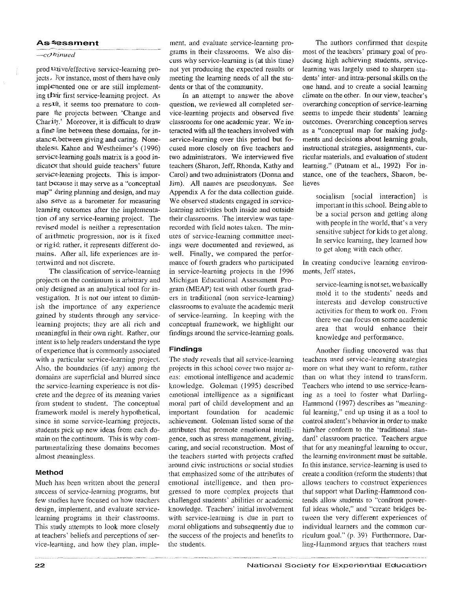### As~essment

### $-c$ *ONinued*

prod Uqive/effective service-learning projects~ Por instance, most of them have only implemented one or are still implementing their first service-learning project. As a result, it seems too premature to compare the projects between 'Change and Charity.' Moreover, it is difficult to draw a fine line between these domains, for instance, between giving and caring. Nonetheless. Kahne and Westheimer's (1996) service-leaming goals matrix is a good indicator that should guide teachers' future service-learning projects. This is important because it may serve as a "conceptual map" during planning and design, and may also serve as a barometer for measuring learning outcomes after the implementation of any service-tearning project. The revised model is neither a representation of arithmetic progression, nor is it fixed or rigid; rather, it represents different domains. After all. life experiences are intertwined and not discrete.

The classification of service-learning projects on the continuum is arbitrary and only designed as an analytical tool for investigation. It is not our intent to diminish the importance of any experience gained by students through any servicelearning projects; they are all rich and meaningful in their own right. Rather. our intent is to help readers understand the type of experience that is commonly associated with a particular service-learning project. Also. the boundaries (if any) among the domains are superficial and blurred since the service-learning experience is not discrete and the degree of its meaning varies from student to student. The conceptual framework model is merely hypothetical, since in some service-learning projects, students pick up new ideas from each domain on the continuum. This is why compartmentalizing these domains becomes almost meaningless.

### Method

Much has been written about the general success of service-learning programs, but few studies have focused on how teachers design, implement, and evaluate servicelearning programs in their classrooms. This study attempts to look more closely at teachers' beliefs and perceptions of service-learning, and how they plan, imple-

ment, and evaluate service-learning programs in their classrooms. We also discuss why service-learning is (at this time) not yet producing the expected results or meeting the learning needs of all the students or that of the community.

In an attempt to answer the above question, we reviewed all completed service-learning projects and observed five classrooms for one academic year. We interacted with all the teachers involved with service-learning over this period but focused more closely on five teachers and two administrators. We interviewed five teachers (Sharon, Jeff, Rhonda, Kathy and Carol) and two administrators (Donna and Jim). All names are pseudonyms. See Appendix A for the data collection guide. We observed students engaged in servicelearning activities both inside and outside their classrooms. The interview was taperecorded with field notes taken. The minutes of service-learning committee meetings were documented and reviewed, as well. Finally, we compared the performance of fourth graders who participated in service-learning projects in the 1996 Michigan Educational Assessment Program (MEAP) test with other fourth graders in traditional (non service-learning) classrooms to evaluate the academic merit of service-learning. In keeping with the conceptual framework, we highlight our findings around the service-learning goals.

### Findings

The study reveals that all service-learning projects in this school cover two major areas: emotional intelligence and academic knowledge. Goleman (1995) described emotional intelligence as a significant moral part of child development and an important foundation for academic achievement. Goleman listed some of the attributes that promote emotional intelligence, such as stress management, giving, caring, and social reconstruction. Most of the teachers started with projects crafted around civic instructions or social studies that emphasized some of the attributes of emotional intelligence. and then progressed to more complex projects that challenged students' abilities or academic knowledge. Teachers' initial involvement with service-learning is due in part to moral obligations and subsequently due to the success of the projects and benefits to the students.

The authors confirmed that despite most of the teachers' primary goal of producing high achieving students, servicelearning was largely used to sharpen students' inter- and intra-personal skills on the one hand, and to create a social learning climate on the other. In our view, teacher's overarching conception of service-learning seems to impede their students' learning outcomes. Overarching conception serves as a "conceptual map for making judgments and decisions about learning goals, instructional strategies, assignments, curricular materials, and evaluation of student learning." (Putnam et al., 1992) For instance. one of the teachers, Sharon, believes

> socialism [social interaction] is important in this school. Being able to be a social person and getting along with people in the world, that's a very sensitive subject for kids to get along. In service learning, they learned how to get along with each other.

In creating conducive learning environments, Jeff states,

> service-learning is not set. we basically mold it to the students' needs and interests and develop constructive activities for them to work on. From there we can focus on some academic area that would enhance their knowledge and performance.

Another finding uncovered was that teachers used service-learning strategies more on what they want to reform. rather than on what they intend to transform. Teachers who intend to use service-learning as a tool to foster what Darling-Hammond (1997) describes as "meaningful learning," end up using it as a tool to control student's behavior in order to make him/her conform to the 'traditional standard' classroom practice. Teachers argue that for any meaningful learning to occur, the learning environment must be suitable. In this instance. service-learning is used to create a condition (rcfonn the students) that allows teachers to construct experiences that support what Darling-Hammond contends allow students to "confront powerful ideas whole," and "create bridges between the very different experiences of individual learners and the common curriculum goal." (p. 39) Furthermore. Darling-Hammond argues that teachers must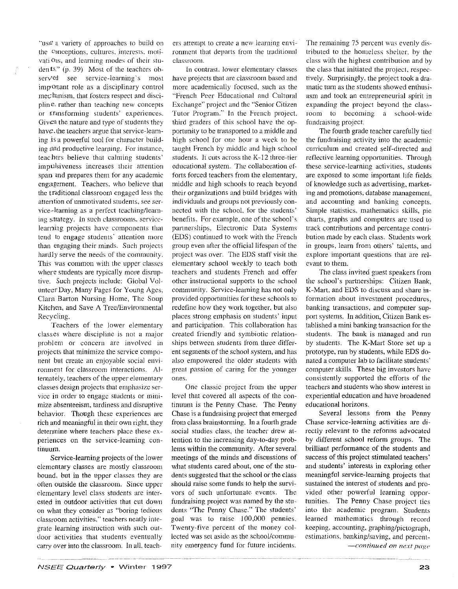··usC a variety of approaches 10 build on the conceptions, cultures, interests, motivati Oas, and learning modes of their students." (p. 39) Most of the teachers observed see service-learning's most important role as a disciplinary control mechanism. that fosters respect and discipline, rather than teaching new concepts or transforming students' experiences. Given the nature and type of students they have. the teachers argue that service-leaming is a powerful tool for character building and productive learning. For instance, teachers believe that calming students' impulsiveness increases their attention span and prepares them for any academic engagement. Teachers, who believe that the traditional classroom engaged less the attention of unmotivated students, see service-learning as a perfect teaching/learning strategy. In such classrooms. servicelearning projects have components that tend to engage students' attention more than engaging their minds. Such projects hardly serve the needs of the community. This was common with the upper classes where students are typically more disruptive. Such projects include: Global Volunteer Day, Many Pages for Young Ages, Clara Barton Nursing Home, The Soup Kitchen, and Save A Tree/Environmental Recycling.

Teachers of the lower elementary classes where discipline is not a major problem or concern are involved in projects that minimize the service component but create an enjoyable social environment for classroom interactions. Alternately, teachers of the upper elementary classes design projects that emphasize ser .. vice in order to engage students or minimize absenteeism, tardiness and disruptive behavior. Though these experiences are rich and meaningful in their own right, they determine where teachers place these experiences on the service-learning continuum.

Service-learning projects of the lower elementary classes are mostly classroom bound, but in the upper classes they are often outside the classroom. Since upper elementary level class students arc inter-· ested in outdoor activities that cut down on what they consider as "boring tedious classroom activities," teachers neatly integrate learning instruction with such outdoor activities that students eventually carry over into the classroom. In all, teachcrs attempt to create a new learning environment that departs from the traditional classroom.

In contrast. lower elementary classes have projects that arc classroom based and more academically focused, such as the "French Peer Educational and Cultural Exchange'' project and the "Senior Citizen Tutor Program." In the French project, third graders of this school have the opporttmity to be transported to a middle and high school for one hour a week to be taught French by middle. and high school students. lt cuts across the K-12 three-tier educational system. The collaboration efforts forced teachers from the elementary, middle and high schools to reach beyond their organizations and build bridges with individuals and groups not previously connected with the school, for the students' benefits. For example, one of the school's partnerships, Electronic Data Systems (EDS) continued to work with the French group even after the official lifespan of the project \vas over. The EDS staff visit the elementary school weekly to teach both teachers and students French and offer other instructional supports to the school community. Service-learning has not only provided opportunities for these schools to redefine how they work together. but also places strong emphasis on students' input and participation. This collaboration has created friendly and symbiotic relationships between students from three different segments of the school system, and has also empowered the older students with great passion of caring for the younger ones.

One classic project from the upper level that covered all aspects of the continuum is the Penny Chase. The Penny Chase is a fundraising project that emerged from class brainstorming. In a fomth grade social studies class, the teacher drew attention to the increasing day-to-day problems within the community. After several meetings of the minds and discussions of what students cared about, one of the students suggested that the school or the class should raise some funds to help the survivors of such unfortunate. events. The fundraising project was named by the students "The Penny Chase." The students' goal was to raise 100,000 pennies. Twenty~five percent of the money collected was set aside as the school/community emergency fund for future incidents.

The remaining 75 percent was evenly distributed to the homeless shelter, by the class with the highest contribution and by the class that initiated the project. respectively. Surprisingly, the project took a dramatic turn as the students showed enthusiasm and took an entrepreneurial spirit in expanding the project beyond the classroom to becoming a school-wide fundraising project.

The fourth grade teacher carefully tied the fundraising activity into the academic curriculum and created self-directed and reflective learning opportunities. Through these service-learning activities, students are exposed to some important life fields of knowledge such as advertising, marketing and promotions, database management, and accounting and banking concepts. Simple statistics, mathematics skills, pie charts, graphs and computers are used to track contributions and percentage contribution made by each class. Students work in groups, learn from others' talents, and explore important questions that are relevant to them.

The class invited guest speakers from the school's partnerships: Citizen Bank, K-Mart, and EDS to discuss and share information about investment procedures, banking transactions, and computer support systems. In addition, Citizen Bank established a mini banking transaction for the students. The bank is managed and run by students. The K-Mart Store set up a prototype, run by students, while EDS donated a computer lab to facilitate students' computer skills. These big investors have consistently supported the efforts of the teachers and students who show interest in experiential education and have broadened educational horizons.

Several lessons from the Penny Chase service-learning activities are directly relevant to the reforms advocated by different school reform groups. The brilliant performance of the students and success of this project stimulated teachers' and students' interests in exploring other meaningful service-leaming projects that sustained the interest of students and provided other powerful learning opportunities. The Penny Chase project tics into the academic program. Students learned mathematics through record keeping, accounting, graphing/pictograph, estimations. banking/saving, and percent-

*-·continued on next pag('*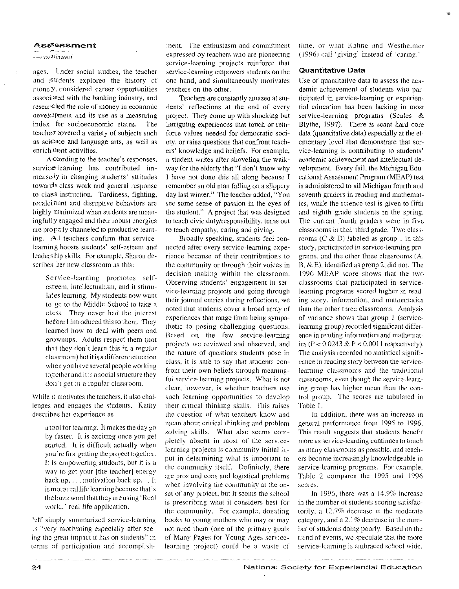### **Assessment**

### —cor<sup>ati</sup>nued

ages. Under social studies, the teacher and students explored the history of mone y, considered career opportunities associated with the banking industry, and researched the role of money in economic development and its use as a measuring index for socioeconomic status. The teacher covered a variety of subjects such as science and language arts, as well as enrich ment activities.

A ccording to the teacher's responses, service-learning has contributed immensely in changing students' attitudes towards class work and general response to class instruction. Tardiness, fighting, recalcitrant and disruptive behaviors are highly minimized when students are meaningfull y engaged and their robust energies are properly channeled to productive learning. All teachers confirm that servicelearning boosts students' self-esteem and leadership skills. For example, Sharon describes her new classroom as this:

> Service-learning promotes selfesteem, intellectualism, and it stimulates learning. My students now want to go to the Middle School to take a class. They never had the interest before I introduced this to them. They learned how to deal with peers and grownups. Adults respect them (not that they don't learn this in a regular classroom) but it is a different situation when you have several people working together and it is a social structure they don't get in a regular classroom.

While it motivates the teachers, it also challenges and engages the students. Kathy describes her experience as

a tool for learning. It makes the day go by faster. It is exciting once you get started. It is difficult actually when you're first getting the project together. It is empowering students, but it is a way to get your [the teacher] energy back up..., motivation back up... It is more real life learning because that's the buzz word that they are using 'Real world,' real life application.

'eff simply summarized service-learning is "very motivating especially after seeing the great impact it has on students" in terms of participation and accomplish-

ment. The enthusiasm and commitment expressed by teachers who are pioneering service-learning projects reinforce that service-learning empowers students on the one hand, and simultaneously motivates teachers on the other.

Teachers are constantly amazed at students' reflections at the end of every project. They come up with shocking but intriguing experiences that touch or reinforce values needed for democratic society, or raise questions that confront teachers' knowledge and beliefs. For example, a student writes after shoveling the walkway for the elderly that "I don't know why I have not done this all along because I remember an old man falling on a slippery day last winter." The teacher added, "You see some sense of passion in the eyes of the student." A project that was designed to teach civic duty/responsibility, turns out to teach empathy, caring and giving.

Broadly speaking, students feel connected after every service-learning experience because of their contributions to the community or through their voices in decision making within the classroom. Observing students' engagement in service-learning projects and going through their journal entries during reflections, we noted that students cover a broad array of experiences that range from being sympathetic to posing challenging questions. Based on the few service-learning projects we reviewed and observed, and the nature of questions students pose in class, it is safe to say that students confront their own beliefs through meaningful service-learning projects. What is not clear, however, is whether teachers use such learning opportunities to develop their critical thinking skills. This raises the question of what teachers know and mean about critical thinking and problem solving skills. What also seems completely absent in most of the servicelearning projects is community initial input in determining what is important to the community itself. Definitely, there are pros and cons and logistical problems when involving the community at the onset of any project, but it seems the school is prescribing what it considers best for the community. For example, donating books to young mothers who may or may not need them (one of the primary goals of Many Pages for Young Ages servicelearning project) could be a waste of

time, or what Kahne and Westheimer (1996) call 'giving' instead of 'caring,'

### **Quantitative Data**

Use of quantitative data to assess the academic achievement of students who participated in service-learning or experiential education has been lacking in most service-learning programs (Scales & Blythe, 1997). There is scant hard core data (quantitative data) especially at the elementary level that demonstrate that service-learning is contributing to students' academic achievement and intellectual development. Every fall, the Michigan Educational Assessment Program (MEAP) test is administered to all Michigan fourth and seventh graders in reading and mathematics, while the science test is given to fifth and eighth grade students in the spring. The current fourth graders were in five classrooms in their third grade: Two classrooms  $(C & D)$  labeled as group 1 in this study, participated in service-learning programs, and the other three classrooms (A, B,  $\&$  E), identified as group 2, did not. The 1996 MEAP score shows that the two classrooms that participated in servicelearning programs scored higher in reading story, information, and mathematics than the other three classrooms. Analysis of variance shows that group 1 (servicelearning group) recorded significant difference in reading information and mathematics (P <  $0.0243 \& P < 0.0011$  respectively). The analysis recorded no statistical significance in reading story between the servicelearning classrooms and the traditional classrooms, even though the service-learning group has higher mean than the control group. The scores are tabulated in Table 1

In addition, there was an increase in general performance from 1995 to 1996. This result suggests that students benefit more as service-learning continues to touch as many classrooms as possible, and teachers become increasingly knowledgeable in service-learning programs. For example, Table 2 compares the 1995 and 1996 scores.

In 1996, there was a 14.9% increase in the number of students scoring satisfactorily, a 12.7% decrease in the moderate category, and a 2.1% decrease in the number of students doing poorly. Based on the trend of events, we speculate that the more service-learning is embraced school wide,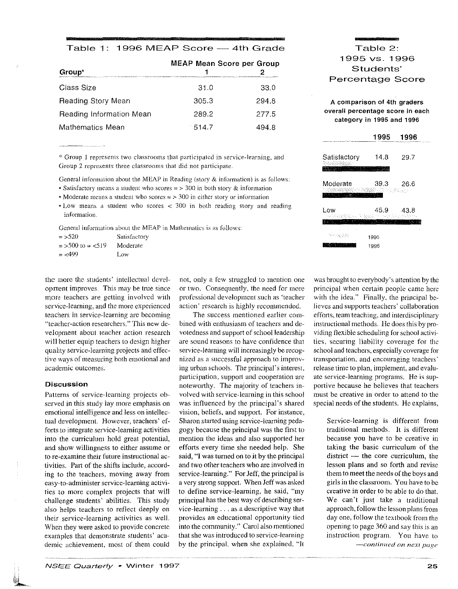### Table 1: 1996 MEAP Score - 4th Grade

| Group*                   | <b>MEAP Mean Score per Group</b><br>chool in the first operation and a constitution of the constitution of the constitution of the COV and the constitution of the constitution of the constitution of the constitution of the constitution of the constitution of |       |
|--------------------------|--------------------------------------------------------------------------------------------------------------------------------------------------------------------------------------------------------------------------------------------------------------------|-------|
| Class Size               | 31.0                                                                                                                                                                                                                                                               | 33.0  |
| Reading Story Mean       | 305.3                                                                                                                                                                                                                                                              | 294.8 |
| Reading Information Mean | 289.2                                                                                                                                                                                                                                                              | 277.5 |
| Mathematics Mean         | $-514.7$                                                                                                                                                                                                                                                           | 494 8 |

\*Group I represents two classrooms that participated in service-learning, and Group 2 represents three classrooms that did not participate.

General information about the MEAP in Reading (story & information) is as follows:

- Satisfactory means a student who scores  $\approx$  > 300 in both story & information
- Moderate means a student who scores  $\approx$  > 300 in either story or information
- Low means a student who scores < 300 in both reading story and reading information.

General information about the MEAP in Mathematics is as follows:

| $=$ > 520          | Satisfactory |
|--------------------|--------------|
| $=$ >500 to = <519 | Moderate     |
| $=$ <499           | Low          |

the more the students' intellectual development improves. This may be true since more teachers are getting involved with service-learning, and the more experienced teachers in service-learning arc becoming ''teacher-action researchers." This new development about teacher action research will better equip teachers to design higher quality service-learning projects and effective ways of measuring both emotional and academic outcomes.

### Discussion

 $\frac{1}{\sqrt{2\pi}}$  .

Patterns of service-learning projects observed in this study lay more emphasis on emotional intelligence and less on intellectual development. However, teachers' efforts to integrate service-learning activities into the curriculum hold great potential, and show willingness to either assume or to re-examine their future instructional activities. Part of the shifts include, according to the teachers, moving away from easy-to-administer service-learning activities to more complex projects that will challenge students' abilities. This study also helps teachers to reflect deeply on their service-learning activities as well. When they were asked to provide concrete examples that demonstrate students' academic achievement. most of them could

not, only a few struggled to mention one or two. Consequently, the need for more professional development such as 'teacher action' research is highly recommended.

The success mentioned earlier com~ bined with enthusiasm of teachers and devotedness and support of school leadership are sound reasons to have confidence that service-learning will increasingly be recognized as a successful approach to improving urban schools. The principal's interest. participation. support and cooperation are noteworthy. The majority of teachers in~ volved with service-learning in this school was influenced by the principal's shared vision, beliefs, and support. For instance, Sharon started using service-learning pedagogy because the principal was the first to mention the ideas and also supported her efforts every time she needed help. She said, "I was tumed on to it by the principal and two other teachers who are involved in service-learning." For Jeff, the principal is a very strong support. When Jeff was asked to define service-leaming, he said, "my principal has the best way of describing service-learning ... as a descriptive way that provides an educational opportunity tied into the community." Carol also mentioned that she was introduced to service~ learning by the principal, when she explained. "It

### Table 2: 1995 vs. 1996 Students' Percentage Score

### A comparison of 4th graders overall percentage score in each category in 1995 and 1996

|                             | 1995                  | 1996 |  |
|-----------------------------|-----------------------|------|--|
| Satisfactory<br>83.90       | 14.8                  | 29.7 |  |
| Moderate<br><b>ALC: YES</b> | 39.3<br>le Sideration | 26.6 |  |
| Low                         | 45.9<br>医麻醉 医粘膜试验     | 43.8 |  |
|                             |                       |      |  |
| 162 전국 중요단                  | 1995                  |      |  |
|                             | 1996                  |      |  |

was brought to everybody's attention by the principal when certain people came here with the idea." Finally, the principal believes and supports teachers' collaboration efforts, team teaching, and interdisciplinary instructional methods. He does this by providing flexible scheduling for school activities, securing liability coverage for the school and teachers, especially coverage for transportation, and encouraging teachers· release time to plan, implement, and evaluate service-learning programs. He is supportive because he believes that teachers must be creative in order to attend to the special needs of the students. He explains,

> Service-learning is different from traditional methods. It is different because you have to be creative in taking the basic curriculum of the  $distinct$  - the core curriculum, the lesson plans and so forth and revise them to meet the needs of the boys and girls in the classroom. You have to be creative in order to be able to do that. We can't just take a traditional approach, follow the lesson plans from day one, follow the textbook from the opening to page 360 and say this is an instruction program. You have to  $-$ *continued on next page*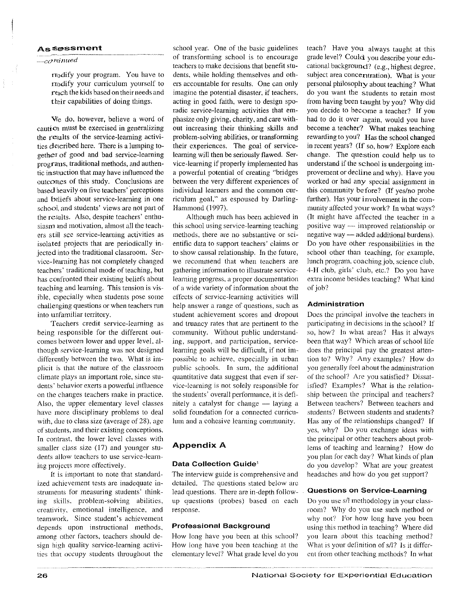### **As.!Sessment**

### $\frac{1}{1-c}$ *o*ninued

nodify your program. You have to modify your curriculum yourself to reach the kids based on their needs and their capabilities of doing things.

Vie do, however, believe a word of caution must be exercised in generalizing the results of the service-learning activities described here. There is a lumping together of good and bad service-learning programs, traditional methods, and authentic instruction that may have influenced the outcomes of this study. Conclusions are based heavily on five teachers' perceptions and beliefs about service-learning in one school, and students' views are not part of the results. Also, despite teachers' enthusiasm and motivation, almost all the teachers still see service-learning activities as isolated projects that are periodically injected into the traditional classroom. Service-learning has not completely changed teachers' traditional mode of teaching, but has confronted their existing beliefs about teaching and learning. This tension is visible, especially when students pose some challenging questions or when teachers run into unfamiliar territory.

Teachers credit service-learning as being responsible for the different outcomes between lower and upper level. although service-learning was not designed differently between the two. What is implicit is that the nature of the classroom climate plays an important role, since students' behavior exerts a powerful influence on the changes teachers make in practice. Also, the upper elementary level classes have more disciplinary problems to deal with, due to class size (average of 28), age of students, and their existing conceptions. In contrast, the lower level classes with smaller class size (17) and younger students allow teachers to use service-learning projects more effectively.

lt is important to note that standardized achievement tests are inadequate instruments for measuring students' thinking skills. problem-solving abilities, creativity, emotional intelligence, and teamwork. Since student's achievement depends upon instructional methods, among other factors, teachers should design high quality service-learning activities that occupy students throughout the school year. One of the basic guidelines of transforming school is to encourage teachers to make decisions that benefit students, while holding themselves and others accountable for results. One can only imagine the potential disaster, if teachers. acting in good faith, were to design sporadic service-learning activities that emphasize only giving, charity, and care without increasing their thinking skills and problem-solving abilities, or transforming their experiences. The goal of servicelearning will then be seriously flawed. Service-learning if properly implemented has a powerful potential of creating "bridges between the very different experiences of individual learners and the common curriculum goal," as espoused by Darling-Hammond (1997).

Although much has been achieved in this school using service-learning teaching methods, there are no substantive or scientific data to support teachers' claims or to show causal relationship. In the future, we recommend that when teachers are gathering information to illustrate servicelearning progress, a proper documentation of a wide variety of information about the effects of service-learning activities will help answer a range of questions, such as student achievement scores and dropout and truancy rates that are pertinent to the community. Without public understanding, support, and participation, servicelearning goals will be difficult, if not impossible to achieve. especially in urban public schools. In sum, the additional quantitative data suggest that even if service-learning is not solely responsible for the students' overall performance, it is definitely a catalyst for change  $-$  laying a solid foundation for a connected curriculum and a cohesive learning community.

### Appendix A

### Data Collection Guide'

The interview guide is comprehensive and detailed. The questions stated below arc lead questions. There are in-depth followup questions (probes) based on each response.

### Professional Background

How long have you been at this school'? How long have you been teaching at the elementary level? What grade level do you

teach'? Have you always taught at this grade level? Could you describe your educational background? (e.g., highest degree, subject area concentration). What is your personal philosophy about teaching? What do you want the students to retain most from having been taught by you? Why did you decide to become a teacher? If you had to do it over again, would you have become a teacher? What makes teaching rewarding to you? Has the school changed in recent years? (If so, how? Explore each change. The question could help us to understand if the school is undergoing improvement or decline and why). Have you worked or had any special assignment in this community before? (If yes/no probe further). Has your involvement in the community affected your work? In what ways? (It might have affected the teacher in a positive way ·--- in1proved relationship or negative way — added additional burdens). Do you have other responsibilities in the school other than teaching, for example, lunch program. coaching job, science club. 4-H club, girls' club, etc.? Do you have extra income besides teaching? What kind of job"'

### **Administration**

Does the principal involve the teachers in participating in decisions in the school? If so, how? In what areas? Has it always been that way? Which areas of school life does the principal pay the greatest attention to? Why? Any examples? How do you generally feel about the administration of the school? Arc you satisfied? Dissatisfied? Examples? What is the relationship between the principal and teachers? Between teachers? Between teachers and students? Between students and students? Has any of the relationships changed? If yes, why? Do you exchange ideas with the principal or other teachers about problems of teaching and learning? How do you plan for each day? What kinds of plan do you develop? What are your greatest headaches and how do you get support?

### **Questions on** Service~Learning

Do you use s/1 methodology in your classroom'? Why do you use such method or why not? For how long have you been using this method in teaching? Where did you learn about this teaching method? What is your definition of  $s/1$ ? Is it different from other teaching methods? fn what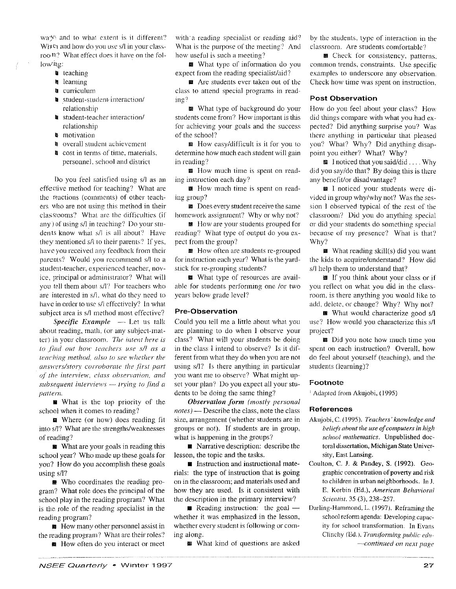$wa\frac{1}{2}$  and to what extent is it different? When and how do you use s/l in your classroo-n.'? \Vhat effect does it have on the fol- $\text{low}$ lig:

- **u** teaching
- **Ill** learning
- **a** curriculum
- **I** student-student- interaction/ relationship
- II student-teacher interaction/ relationship
- **a** motivation
- 11.1 overall student achievement
- **II** cost in terms of time, materials. personnel. school and district

Do you feel satisfied using s/1 as an effective method for teaching? What are the reactions (comments) of other teachers who are not using this method in their classrooms? What are the difficulties (if any) of using  $s/l$  in teaching? Do your students know what s/l is all about? Have they mentioned s/1 to their parents? If yes, have you received any feedback from their parents? Would you recommend s/1 to a student-teacher, experienced teacher, novicc, principal or administrator? What will you tell them about s/l? For teachers who are interested in s/1. what do they need to have in order to use s/l effectively? In what subject area is s/l method most effective?

*Specific Example* - Let us talk about reading, math. (or any subject-matter) in your classroom. The intent here is *to find out how teachers use s/l as a teaching method, olso to sec whether the*   $answers/story$  corroborate the first part qf' *the interview, class observation, and subsequent interviews* .... \_ *trying to jim/ a pattern.* 

 $\blacksquare$  What is the top priority of the school when it comes to reading?

**a** Where (or how) does reading fit into s/1? What are the strengths/weaknesses of reading?

**12** What are your goals in reading this school year? Who made up these goals for you? How do you accomplish these goals using s/1?

■ Who coordinates the reading program? What role does the principal of the school play in the reading program? What is the role of the reading specialist in the reading program?

**m** How many other personnel assist in the reading program? What are their roles?

**2111** How often do you interact or meet

with a reading specialist or reading aid? \Vhat is the purpose of the meeting'? And how useful is such a meeting?

II What type of' information do you expect from the reading specialist/aid?

**12** Are students ever taken out of the class to attend special programs in reading?

■ What type of background do your students come from? How important is this for achieving your goals and the success of the school''

a How easy/difficult is it for you to determine how much each student will gain in reading?

**12** How much time is spent on reading instruction each day?

**III** How much time is spent on reading group?

■ Does every student receive the same homework assignment? Why or why not?

**■** How are your students grouped for reading? What type of output do you expect from the group?

**M** How often are students re-grouped for instruction each year? What is the yardstick for re-grouping students?

**21** What type of resources are available for students performing one /or two years below grade level?

### **Pre-Observation**

Could you tell me a little about what you arc planning to do when *1* observe your class? What will your students be doing in the class I intend to observe? Is it different from what they do when you are not using s/l? Is there anything in particular you want me to observe'? What might upset your plan? Do you expect all your students to be doing the same thing?

*Observation form (most(v personal notes)-* Describe the class, note the class size, arrangement (whether students are in groups or not). If students are in group. what is happening in the groups?

**• Narrative description:** describe the lesson, the topic and the tasks.

 $\blacksquare$  Instruction and instructional materials: the type of instruction that is going on in the classroom; and materials used and how they are used. Is it consistent with the description in the primary interview?

 $\blacksquare$  Reading instruction: the goal whether it was emphasized in the Jesson, whether every student is following or coming along.

**III** What kind of questions are asked

by the students, type of interaction in the classroom. Are students comfortable?

**11** Check for consistency, patterns. common trends, constraints. Use specific examples to underscore any observation. Check how time was spent on instruction.

### Post Observation

How do you feel about your class? How did things compare with what you had expected'! Did anything surprise you? Was there anything in particular that pleased you'? What? Why? Did anything disappoint you either? What? Why?

 $\blacksquare$  I noticed that you said/did .... Why did you say/do that? By doing this is there any benefit/or disadvantage?

**11** I noticed your students were divided in group why/why not? Was the session *1* observed typical of the rest of the classroom? Did you do anything special or did your students do something special because of my presence? What is that? Why?

■ What reading skill(s) did you want the kids to acquire/understand? How did s/l help them to understand that?

**If** you think about your class or if you reflect on what you did in the classroom, is there anything you would like to add. delete, or change? Why? Why not?

**■** What would characterize good s/l use? How would you characterize this s/1 project?

**liB** Did you note how much time you spent on each instruction? Overall, how do feel about yourself (teaching), and the students (learning)?

#### Footnote

1 Adapted from Akujobi, (1995)

#### **References**

- Akujobi, C. (1995). Teachers' knowledge and *beliefs about the use of computers in high school mathematics.* Unpublished doctoral dissertation, Michigan State University, East Lansing.
- Coulton, C. J. & Pandey, S. (1992). Geographic concentration of poverty and risk to children in urban neighborhoods. In J. E. Korbin (Ed.), *American Behavioral Scientist.* 35 (3), 238-257.
- Darling-Hammond, L. ( 1997). Reframing the school reform agenda: Developing capacity for school transformation. In Evans Clinchy (Ed.), Transforming public edu-*- .. continued on next page*